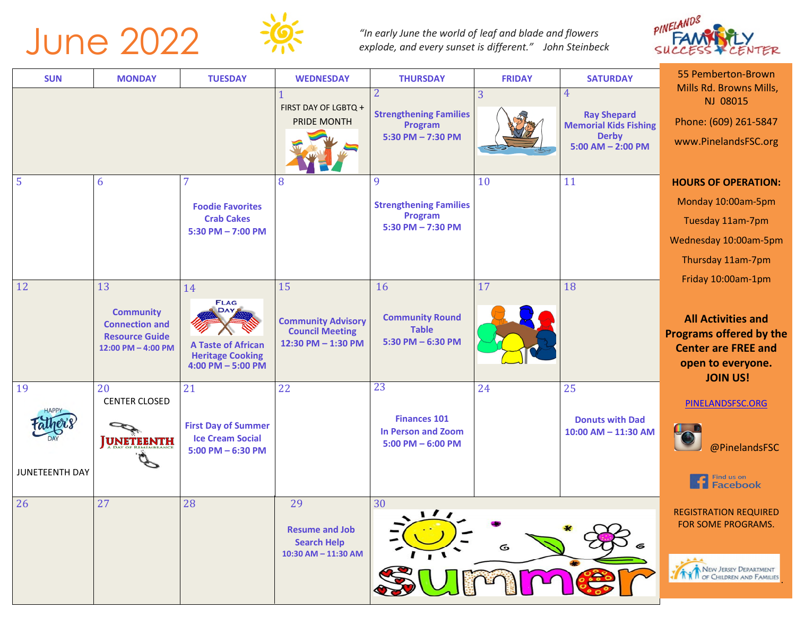



*"In early June the world of leaf and blade and flowers explode, and every sunset is different." John Steinbeck* 



| <b>SUN</b>            | <b>MONDAY</b>                                                                                                          | <b>TUESDAY</b>                                                                                            | <b>WEDNESDAY</b>                                                                | <b>THURSDAY</b>                                                          | <b>FRIDAY</b> | <b>SATURDAY</b>                                    | 55 Pemberton-Brown                                                                                                                                    |
|-----------------------|------------------------------------------------------------------------------------------------------------------------|-----------------------------------------------------------------------------------------------------------|---------------------------------------------------------------------------------|--------------------------------------------------------------------------|---------------|----------------------------------------------------|-------------------------------------------------------------------------------------------------------------------------------------------------------|
|                       |                                                                                                                        |                                                                                                           |                                                                                 |                                                                          | 3             | 4                                                  | Mills Rd. Browns Mills,<br>NJ 08015                                                                                                                   |
|                       |                                                                                                                        |                                                                                                           | FIRST DAY OF LGBTQ +<br>PRIDE MONTH                                             | <b>Strengthening Families</b><br>Program                                 |               | <b>Ray Shepard</b><br><b>Memorial Kids Fishing</b> | Phone: (609) 261-5847                                                                                                                                 |
|                       |                                                                                                                        |                                                                                                           |                                                                                 | 5:30 PM - 7:30 PM                                                        |               | <b>Derby</b><br>$5:00$ AM $- 2:00$ PM              | www.PinelandsFSC.org                                                                                                                                  |
| 5                     | 6                                                                                                                      |                                                                                                           | 8                                                                               | 9                                                                        | 10            | 11                                                 | <b>HOURS OF OPERATION:</b>                                                                                                                            |
|                       |                                                                                                                        | <b>Foodie Favorites</b>                                                                                   |                                                                                 | <b>Strengthening Families</b>                                            |               |                                                    | Monday 10:00am-5pm                                                                                                                                    |
|                       |                                                                                                                        | <b>Crab Cakes</b>                                                                                         |                                                                                 | Program<br>$5:30$ PM $- 7:30$ PM                                         |               |                                                    | Tuesday 11am-7pm                                                                                                                                      |
|                       |                                                                                                                        | $5:30$ PM $- 7:00$ PM                                                                                     |                                                                                 |                                                                          |               |                                                    | Wednesday 10:00am-5pm                                                                                                                                 |
|                       |                                                                                                                        |                                                                                                           |                                                                                 |                                                                          |               |                                                    | Thursday 11am-7pm                                                                                                                                     |
| 12                    | 13                                                                                                                     | 14                                                                                                        | 15                                                                              | 16                                                                       | 17            | 18                                                 | Friday 10:00am-1pm                                                                                                                                    |
| 19                    | <b>Community</b><br><b>Connection and</b><br><b>Resource Guide</b><br>12:00 PM - 4:00 PM<br>20<br><b>CENTER CLOSED</b> | <b>FLAG</b><br>DAY,<br><b>A Taste of African</b><br><b>Heritage Cooking</b><br>$4:00$ PM $-5:00$ PM<br>21 | <b>Community Advisory</b><br><b>Council Meeting</b><br>12:30 PM - 1:30 PM<br>22 | <b>Community Round</b><br><b>Table</b><br>$5:30$ PM $-6:30$ PM<br>23     | 24            | 25                                                 | <b>All Activities and</b><br><b>Programs offered by the</b><br><b>Center are FREE and</b><br>open to everyone.<br><b>JOIN US!</b><br>PINELANDSFSC.ORG |
| <b>JUNETEENTH DAY</b> | <b>UNETEENTH</b>                                                                                                       | <b>First Day of Summer</b><br><b>Ice Cream Social</b><br>$5:00$ PM $-6:30$ PM                             |                                                                                 | <b>Finances 101</b><br><b>In Person and Zoom</b><br>$5:00$ PM $-6:00$ PM |               | <b>Donuts with Dad</b><br>10:00 AM - 11:30 AM      | @PinelandsFSC<br>Find us on<br><b>Facebook</b>                                                                                                        |
| 26                    | 27                                                                                                                     | 28                                                                                                        | 29<br><b>Resume and Job</b><br><b>Search Help</b><br>10:30 AM - 11:30 AM        | 30<br>$\sqrt{11}$                                                        | G             |                                                    | <b>REGISTRATION REQUIRED</b><br>FOR SOME PROGRAMS.                                                                                                    |
|                       |                                                                                                                        |                                                                                                           |                                                                                 |                                                                          | mme           |                                                    | NEW JERSEY DEPARTMENT<br><b>N</b> OF CHILDREN AND FAMILIES                                                                                            |